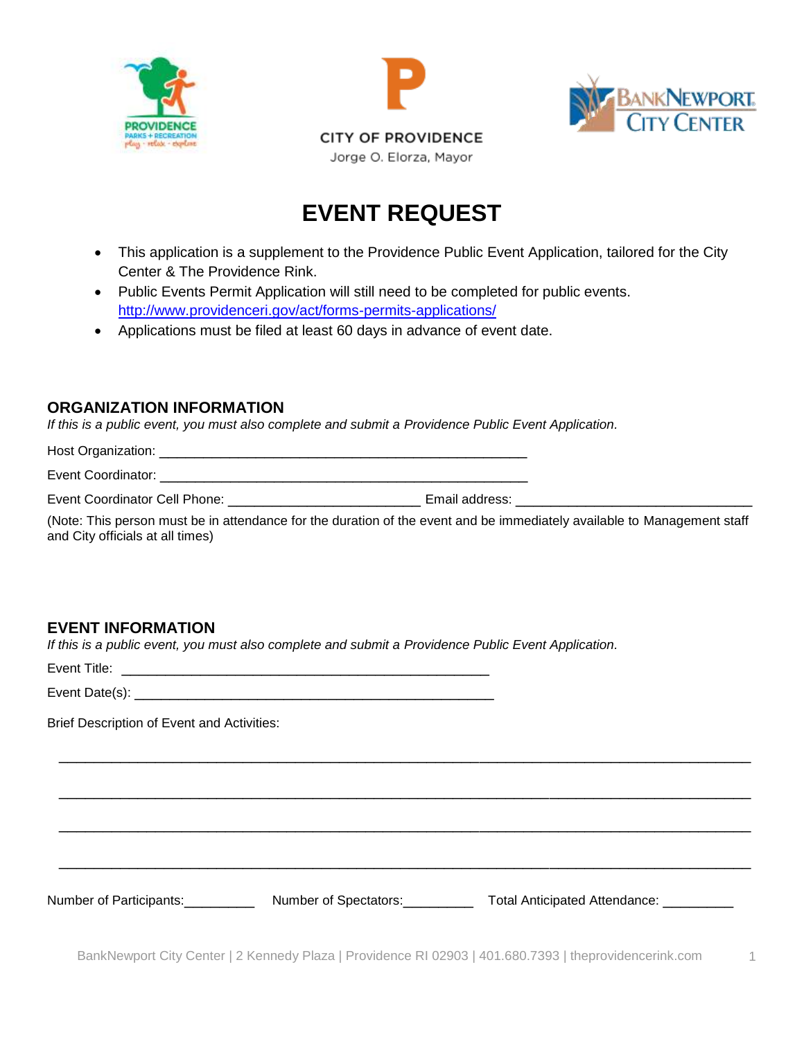





## **EVENT REQUEST**

- This application is a supplement to the Providence Public Event Application, tailored for the City Center & The Providence Rink.
- Public Events Permit Application will still need to be completed for public events. <http://www.providenceri.gov/act/forms-permits-applications/>
- Applications must be filed at least 60 days in advance of event date.

#### **ORGANIZATION INFORMATION**

*If this is a public event, you must also complete and submit a Providence Public Event Application.*

Host Organization: \_\_\_\_\_\_\_\_\_\_\_\_\_\_\_\_\_\_\_\_\_\_\_\_\_\_\_\_\_\_\_\_\_\_\_\_\_\_\_\_\_\_

Event Coordinator: \_\_\_\_\_\_\_\_\_\_\_\_\_\_\_\_\_\_\_\_\_\_\_\_\_\_\_\_\_\_\_\_\_\_\_\_\_\_\_\_\_\_

Event Coordinator Cell Phone: \_\_\_\_\_\_\_\_\_\_\_\_\_\_\_\_\_\_\_\_\_\_\_\_\_\_\_\_\_\_\_\_\_\_ Email address: \_\_

(Note: This person must be in attendance for the duration of the event and be immediately available to Management staff and City officials at all times)

### **EVENT INFORMATION**

*If this is a public event, you must also complete and submit a Providence Public Event Application.*

Event Title:\_\_\_\_\_\_\_\_\_\_\_\_\_\_\_\_\_\_\_\_\_\_\_\_\_\_\_\_\_\_\_\_\_\_\_\_\_\_\_\_\_\_

Event Date(s): **Event** Date(s):

Brief Description of Event and Activities:

Number of Participants: \_\_\_\_\_\_\_\_\_ Number of Spectators: \_\_\_\_\_\_\_\_ Total Anticipated Attendance: \_\_\_\_\_\_\_\_\_

\_\_\_\_\_\_\_\_\_\_\_\_\_\_\_\_\_\_\_\_\_\_\_\_\_\_\_\_\_\_\_\_\_\_\_\_\_\_\_\_\_\_\_\_\_\_\_\_\_\_\_\_\_\_\_\_\_\_\_\_\_\_\_\_\_\_\_\_\_\_\_\_\_\_\_\_\_\_\_

\_\_\_\_\_\_\_\_\_\_\_\_\_\_\_\_\_\_\_\_\_\_\_\_\_\_\_\_\_\_\_\_\_\_\_\_\_\_\_\_\_\_\_\_\_\_\_\_\_\_\_\_\_\_\_\_\_\_\_\_\_\_\_\_\_\_\_\_\_\_\_\_\_\_\_\_\_\_\_

\_\_\_\_\_\_\_\_\_\_\_\_\_\_\_\_\_\_\_\_\_\_\_\_\_\_\_\_\_\_\_\_\_\_\_\_\_\_\_\_\_\_\_\_\_\_\_\_\_\_\_\_\_\_\_\_\_\_\_\_\_\_\_\_\_\_\_\_\_\_\_\_\_\_\_\_\_\_\_

\_\_\_\_\_\_\_\_\_\_\_\_\_\_\_\_\_\_\_\_\_\_\_\_\_\_\_\_\_\_\_\_\_\_\_\_\_\_\_\_\_\_\_\_\_\_\_\_\_\_\_\_\_\_\_\_\_\_\_\_\_\_\_\_\_\_\_\_\_\_\_\_\_\_\_\_\_\_\_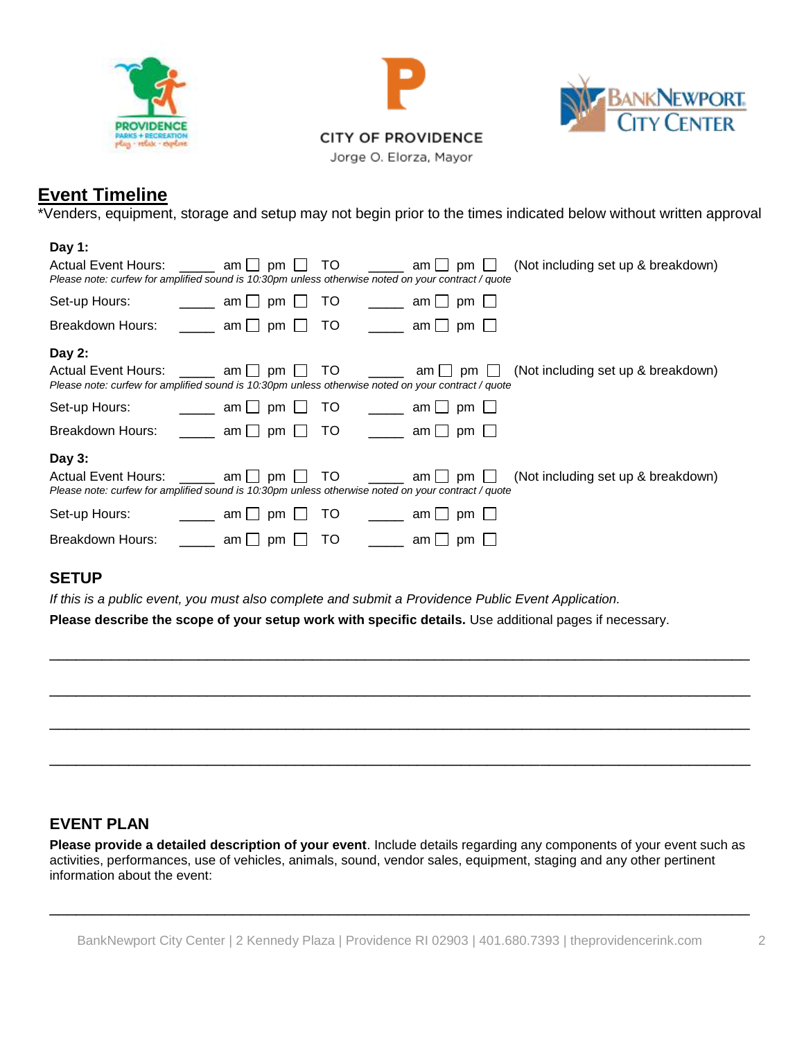





Jorge O. Elorza, Mayor

## **Event Timeline**

\*Venders, equipment, storage and setup may not begin prior to the times indicated below without written approval

## **Day 1:** Actual Event Hours: \_\_\_\_\_ am pm pm T TO \_\_\_\_\_ am pm pm C (Not including set up & breakdown) *Please note: curfew for amplified sound is 10:30pm unless otherwise noted on your contract / quote* Set-up Hours:  $\underline{\qquad \qquad }$  am  $\square$  pm  $\square$  TO  $\qquad \qquad \square$  am  $\square$  pm  $\square$ Breakdown Hours:  $\Box$  am  $\Box$  pm  $\Box$  TO  $\Box$  am  $\Box$  pm  $\Box$ **Day 2:** Actual Event Hours: \_\_\_\_\_ am □ pm □ TO \_\_\_\_\_ am □ pm □ (Not including set up & breakdown) *Please note: curfew for amplified sound is 10:30pm unless otherwise noted on your contract / quote* Set-up Hours:  $\qquad \qquad \qquad \qquad \qquad \text{and} \qquad \text{pm} \qquad \text{pm} \qquad \qquad \text{cm} \qquad \qquad \text{pm} \qquad \text{pm} \qquad \text{pm}$ Breakdown Hours:  $\qquad \qquad \_$  am  $\Box$  pm  $\Box$  TO  $\qquad \_$  am  $\Box$  pm  $\Box$ **Day 3:** Actual Event Hours: \_\_\_\_\_ am pm pm T TO \_\_\_\_\_ am pm pm R (Not including set up & breakdown) *Please note: curfew for amplified sound is 10:30pm unless otherwise noted on your contract / quote* Set-up Hours:  $am \Box pm \Box$  TO  $am \Box pm \Box$ Breakdown Hours:  $am \bigcap pm \bigcap TO$  am pm  $\bigcap$

#### **SETUP**

*If this is a public event, you must also complete and submit a Providence Public Event Application.*

**Please describe the scope of your setup work with specific details.** Use additional pages if necessary.



### **EVENT PLAN**

**Please provide a detailed description of your event**. Include details regarding any components of your event such as activities, performances, use of vehicles, animals, sound, vendor sales, equipment, staging and any other pertinent information about the event:

\_\_\_\_\_\_\_\_\_\_\_\_\_\_\_\_\_\_\_\_\_\_\_\_\_\_\_\_\_\_\_\_\_\_\_\_\_\_\_\_\_\_\_\_\_\_\_\_\_\_\_\_\_\_\_\_\_\_\_\_\_\_\_\_\_\_\_\_\_\_\_\_\_\_\_\_\_\_\_\_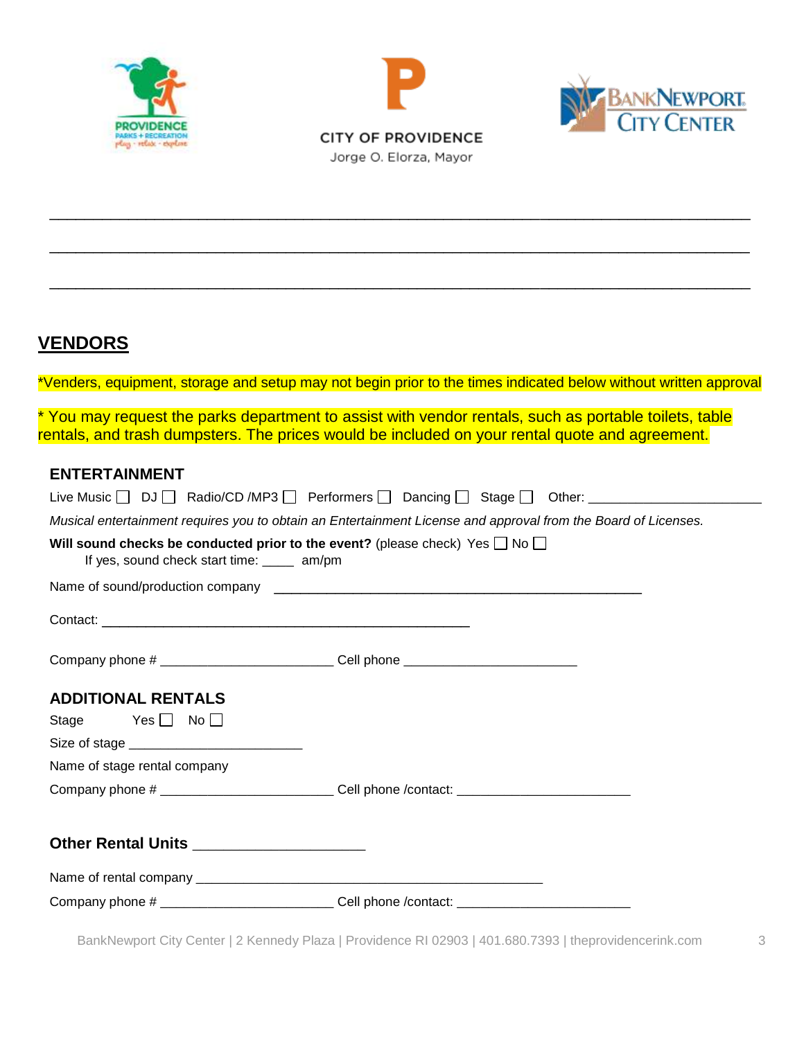



\_\_\_\_\_\_\_\_\_\_\_\_\_\_\_\_\_\_\_\_\_\_\_\_\_\_\_\_\_\_\_\_\_\_\_\_\_\_\_\_\_\_\_\_\_\_\_\_\_\_\_\_\_\_\_\_\_\_\_\_\_\_\_\_\_\_\_\_\_\_\_\_\_\_\_\_\_\_\_\_

\_\_\_\_\_\_\_\_\_\_\_\_\_\_\_\_\_\_\_\_\_\_\_\_\_\_\_\_\_\_\_\_\_\_\_\_\_\_\_\_\_\_\_\_\_\_\_\_\_\_\_\_\_\_\_\_\_\_\_\_\_\_\_\_\_\_\_\_\_\_\_\_\_\_\_\_\_\_\_\_

\_\_\_\_\_\_\_\_\_\_\_\_\_\_\_\_\_\_\_\_\_\_\_\_\_\_\_\_\_\_\_\_\_\_\_\_\_\_\_\_\_\_\_\_\_\_\_\_\_\_\_\_\_\_\_\_\_\_\_\_\_\_\_\_\_\_\_\_\_\_\_\_\_\_\_\_\_\_\_\_



**VENDORS**

\*Venders, equipment, storage and setup may not begin prior to the times indicated below without written approval

\* You may request the parks department to assist with vendor rentals, such as portable toilets, table rentals, and trash dumpsters. The prices would be included on your rental quote and agreement.

#### **ENTERTAINMENT**

|                                                                                                                                       | Live Music □ DJ □ Radio/CD /MP3 □ Performers □ Dancing □ Stage □ Other: ___________________________            |  |  |  |
|---------------------------------------------------------------------------------------------------------------------------------------|----------------------------------------------------------------------------------------------------------------|--|--|--|
|                                                                                                                                       | Musical entertainment requires you to obtain an Entertainment License and approval from the Board of Licenses. |  |  |  |
| Will sound checks be conducted prior to the event? (please check) Yes $\Box$ No $\Box$<br>If yes, sound check start time: _____ am/pm |                                                                                                                |  |  |  |
|                                                                                                                                       |                                                                                                                |  |  |  |
|                                                                                                                                       |                                                                                                                |  |  |  |
| Company phone # _____________________________Cell phone ________________________                                                      |                                                                                                                |  |  |  |
| <b>ADDITIONAL RENTALS</b>                                                                                                             |                                                                                                                |  |  |  |
| Stage Yes $\Box$ No $\Box$                                                                                                            |                                                                                                                |  |  |  |
|                                                                                                                                       |                                                                                                                |  |  |  |
| Name of stage rental company                                                                                                          |                                                                                                                |  |  |  |
|                                                                                                                                       | Company phone # ______________________________Cell phone /contact: _________________________________           |  |  |  |
| Other Rental Units ______________________                                                                                             |                                                                                                                |  |  |  |
|                                                                                                                                       |                                                                                                                |  |  |  |
|                                                                                                                                       | Company phone # _______________________________Cell phone /contact: _______________________________            |  |  |  |

BankNewport City Center | 2 Kennedy Plaza | Providence RI 02903 | 401.680.7393 | theprovidencerink.com 3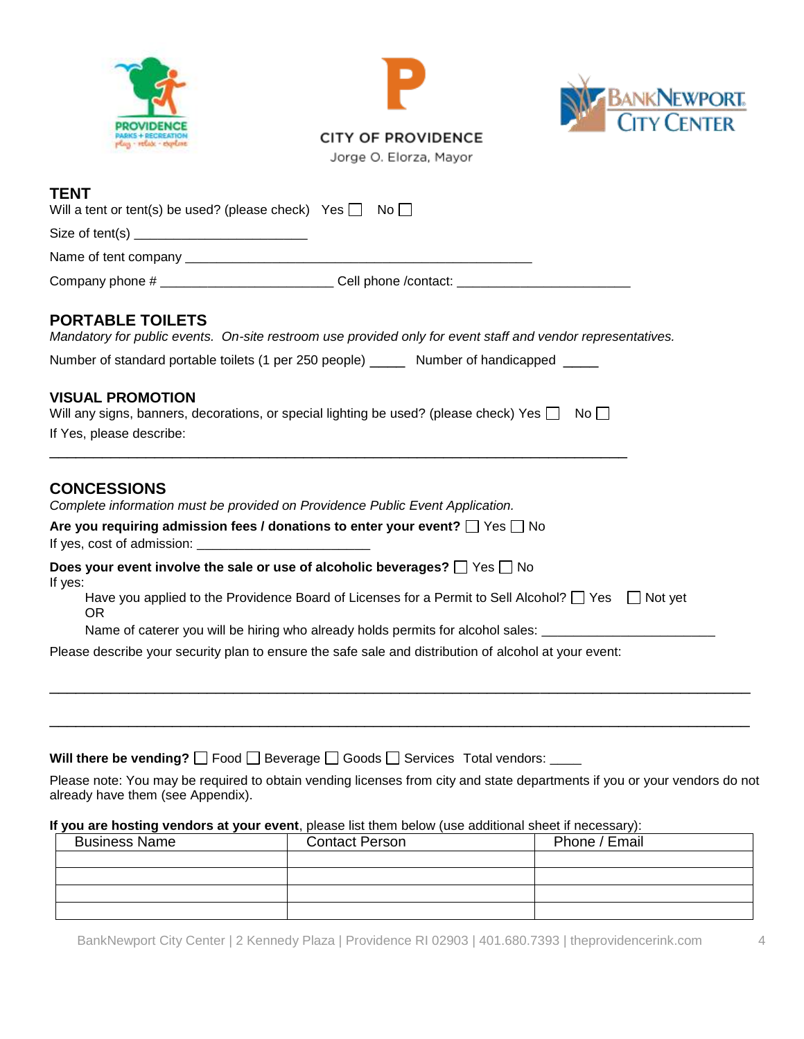





Jorge O. Elorza, Mayor

### **TENT**

| Will a tent or tent(s) be used? (please check) Yes $\Box$ No $\Box$                      |                                                                                                                                                               |  |  |  |  |                                                                                                                                        |
|------------------------------------------------------------------------------------------|---------------------------------------------------------------------------------------------------------------------------------------------------------------|--|--|--|--|----------------------------------------------------------------------------------------------------------------------------------------|
|                                                                                          |                                                                                                                                                               |  |  |  |  | Company phone # ______________________________Cell phone /contact: ________________________________                                    |
|                                                                                          |                                                                                                                                                               |  |  |  |  | <b>PORTABLE TOILETS</b><br>Mandatory for public events. On-site restroom use provided only for event staff and vendor representatives. |
| Number of standard portable toilets (1 per 250 people) ______ Number of handicapped ____ |                                                                                                                                                               |  |  |  |  |                                                                                                                                        |
|                                                                                          | <b>VISUAL PROMOTION</b><br>Will any signs, banners, decorations, or special lighting be used? (please check) Yes $\Box$ No $\Box$<br>If Yes, please describe: |  |  |  |  |                                                                                                                                        |
|                                                                                          | <b>CONCESSIONS</b><br>Complete information must be provided on Providence Public Event Application.                                                           |  |  |  |  |                                                                                                                                        |
|                                                                                          | Are you requiring admission fees / donations to enter your event? $\Box$ Yes $\Box$ No<br>If yes, cost of admission:                                          |  |  |  |  |                                                                                                                                        |
| If yes:                                                                                  | Does your event involve the sale or use of alcoholic beverages? $\Box$ Yes $\Box$ No                                                                          |  |  |  |  |                                                                                                                                        |
|                                                                                          | Have you applied to the Providence Board of Licenses for a Permit to Sell Alcohol? $\Box$ Yes $\Box$ Not yet<br>OR.                                           |  |  |  |  |                                                                                                                                        |
|                                                                                          | Name of caterer you will be hiring who already holds permits for alcohol sales: ____________________                                                          |  |  |  |  |                                                                                                                                        |
|                                                                                          | Please describe your security plan to ensure the safe sale and distribution of alcohol at your event:                                                         |  |  |  |  |                                                                                                                                        |

**Will there be vending?**  $\Box$  Food  $\Box$  Beverage  $\Box$  Goods  $\Box$  Services Total vendors:

Please note: You may be required to obtain vending licenses from city and state departments if you or your vendors do not already have them (see Appendix).

\_\_\_\_\_\_\_\_\_\_\_\_\_\_\_\_\_\_\_\_\_\_\_\_\_\_\_\_\_\_\_\_\_\_\_\_\_\_\_\_\_\_\_\_\_\_\_\_\_\_\_\_\_\_\_\_\_\_\_\_\_\_\_\_\_\_\_\_\_\_\_\_\_\_\_\_\_\_\_\_

\_\_\_\_\_\_\_\_\_\_\_\_\_\_\_\_\_\_\_\_\_\_\_\_\_\_\_\_\_\_\_\_\_\_\_\_\_\_\_\_\_\_\_\_\_\_\_\_\_\_\_\_\_\_\_\_\_\_\_\_\_\_\_\_\_\_\_\_\_\_\_\_\_\_\_\_\_\_\_\_

#### **If you are hosting vendors at your event**, please list them below (use additional sheet if necessary):

| <b>Business Name</b> | <b>Contact Person</b> | Phone / Email |
|----------------------|-----------------------|---------------|
|                      |                       |               |
|                      |                       |               |
|                      |                       |               |
|                      |                       |               |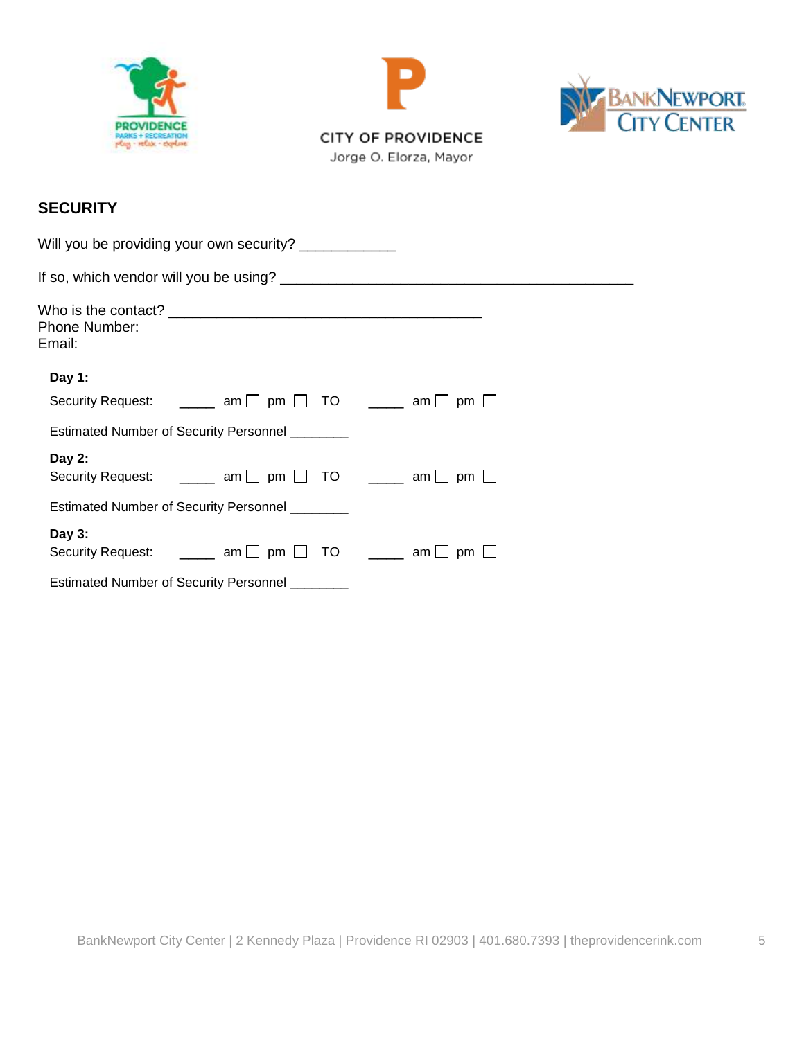





## **SECURITY**

| Will you be providing your own security?                                                                |  |  |
|---------------------------------------------------------------------------------------------------------|--|--|
|                                                                                                         |  |  |
| <b>Phone Number:</b><br>Email:                                                                          |  |  |
| Day 1:                                                                                                  |  |  |
| Security Request: $\Box$ am $\Box$ pm $\Box$ TO $\Box$ am $\Box$ pm $\Box$                              |  |  |
| Estimated Number of Security Personnel ________                                                         |  |  |
| Day $2:$<br>Security Request: $\qquad \qquad \_$ am $\Box$ pm $\Box$ TO $\qquad \_$ am $\Box$ pm $\Box$ |  |  |
| Estimated Number of Security Personnel ________                                                         |  |  |
| Day 3:<br>Security Request: $\Box$ am $\Box$ pm $\Box$ TO $\Box$ am $\Box$ pm $\Box$                    |  |  |
| Estimated Number of Security Personnel ________                                                         |  |  |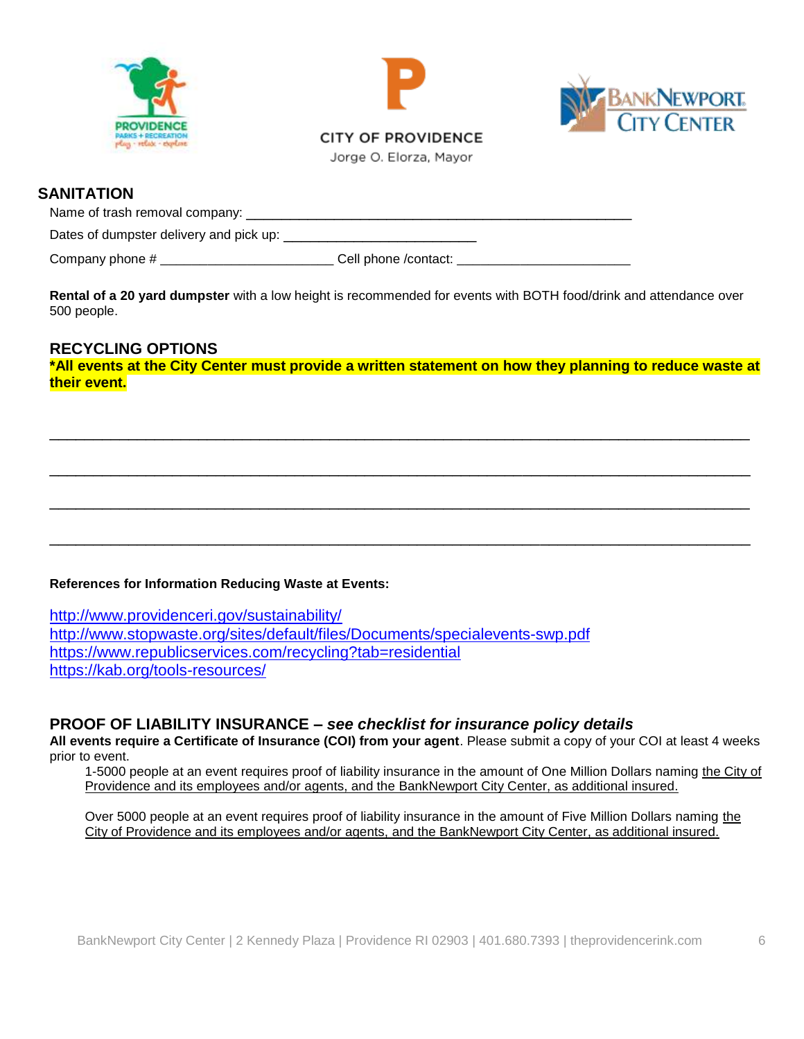





### **SANITATION**

Name of trash removal company: \_\_\_\_\_\_\_\_\_\_\_\_\_\_\_\_\_\_\_\_\_\_\_\_\_\_\_\_\_\_\_\_\_\_\_\_\_\_\_\_\_\_\_\_ Dates of dumpster delivery and pick up: \_\_\_\_\_\_\_\_\_\_\_\_\_\_\_\_\_\_\_\_\_\_

Company phone # \_\_\_\_\_\_\_\_\_\_\_\_\_\_\_\_\_\_\_\_\_\_\_\_\_\_\_\_\_\_\_\_Cell phone /contact: \_\_\_\_\_\_\_\_\_\_\_

**Rental of a 20 yard dumpster** with a low height is recommended for events with BOTH food/drink and attendance over 500 people.

#### **RECYCLING OPTIONS**

**\*All events at the City Center must provide a written statement on how they planning to reduce waste at their event.** 

\_\_\_\_\_\_\_\_\_\_\_\_\_\_\_\_\_\_\_\_\_\_\_\_\_\_\_\_\_\_\_\_\_\_\_\_\_\_\_\_\_\_\_\_\_\_\_\_\_\_\_\_\_\_\_\_\_\_\_\_\_\_\_\_\_\_\_\_\_\_\_\_\_\_\_\_\_\_\_\_

\_\_\_\_\_\_\_\_\_\_\_\_\_\_\_\_\_\_\_\_\_\_\_\_\_\_\_\_\_\_\_\_\_\_\_\_\_\_\_\_\_\_\_\_\_\_\_\_\_\_\_\_\_\_\_\_\_\_\_\_\_\_\_\_\_\_\_\_\_\_\_\_\_\_\_\_\_\_\_\_

\_\_\_\_\_\_\_\_\_\_\_\_\_\_\_\_\_\_\_\_\_\_\_\_\_\_\_\_\_\_\_\_\_\_\_\_\_\_\_\_\_\_\_\_\_\_\_\_\_\_\_\_\_\_\_\_\_\_\_\_\_\_\_\_\_\_\_\_\_\_\_\_\_\_\_\_\_\_\_\_

\_\_\_\_\_\_\_\_\_\_\_\_\_\_\_\_\_\_\_\_\_\_\_\_\_\_\_\_\_\_\_\_\_\_\_\_\_\_\_\_\_\_\_\_\_\_\_\_\_\_\_\_\_\_\_\_\_\_\_\_\_\_\_\_\_\_\_\_\_\_\_\_\_\_\_\_\_\_\_\_

#### **References for Information Reducing Waste at Events:**

<http://www.providenceri.gov/sustainability/> <http://www.stopwaste.org/sites/default/files/Documents/specialevents-swp.pdf> <https://www.republicservices.com/recycling?tab=residential> <https://kab.org/tools-resources/>

#### **PROOF OF LIABILITY INSURANCE –** *see checklist for insurance policy details*

**All events require a Certificate of Insurance (COI) from your agent**. Please submit a copy of your COI at least 4 weeks prior to event.

1-5000 people at an event requires proof of liability insurance in the amount of One Million Dollars naming the City of Providence and its employees and/or agents, and the BankNewport City Center, as additional insured.

Over 5000 people at an event requires proof of liability insurance in the amount of Five Million Dollars naming the City of Providence and its employees and/or agents, and the BankNewport City Center, as additional insured.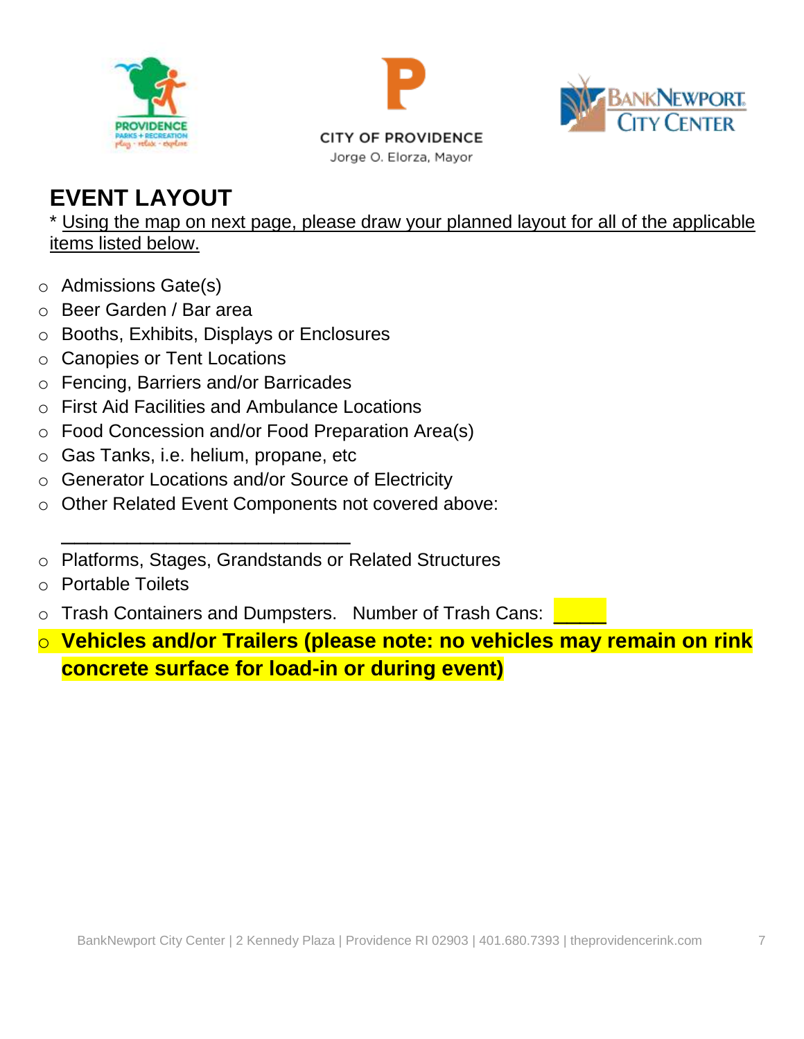





**CITY OF PROVIDENCE** Jorge O. Elorza, Mayor

# **EVENT LAYOUT**

\* Using the map on next page, please draw your planned layout for all of the applicable items listed below.

- o Admissions Gate(s)
- o Beer Garden / Bar area
- o Booths, Exhibits, Displays or Enclosures
- o Canopies or Tent Locations
- o Fencing, Barriers and/or Barricades
- o First Aid Facilities and Ambulance Locations
- o Food Concession and/or Food Preparation Area(s)
- o Gas Tanks, i.e. helium, propane, etc

\_\_\_\_\_\_\_\_\_\_\_\_\_\_\_\_\_\_\_\_\_\_

- o Generator Locations and/or Source of Electricity
- o Other Related Event Components not covered above:
- o Platforms, Stages, Grandstands or Related Structures
- o Portable Toilets
- o Trash Containers and Dumpsters. Number of Trash Cans: \_\_\_\_
- o **Vehicles and/or Trailers (please note: no vehicles may remain on rink concrete surface for load-in or during event)**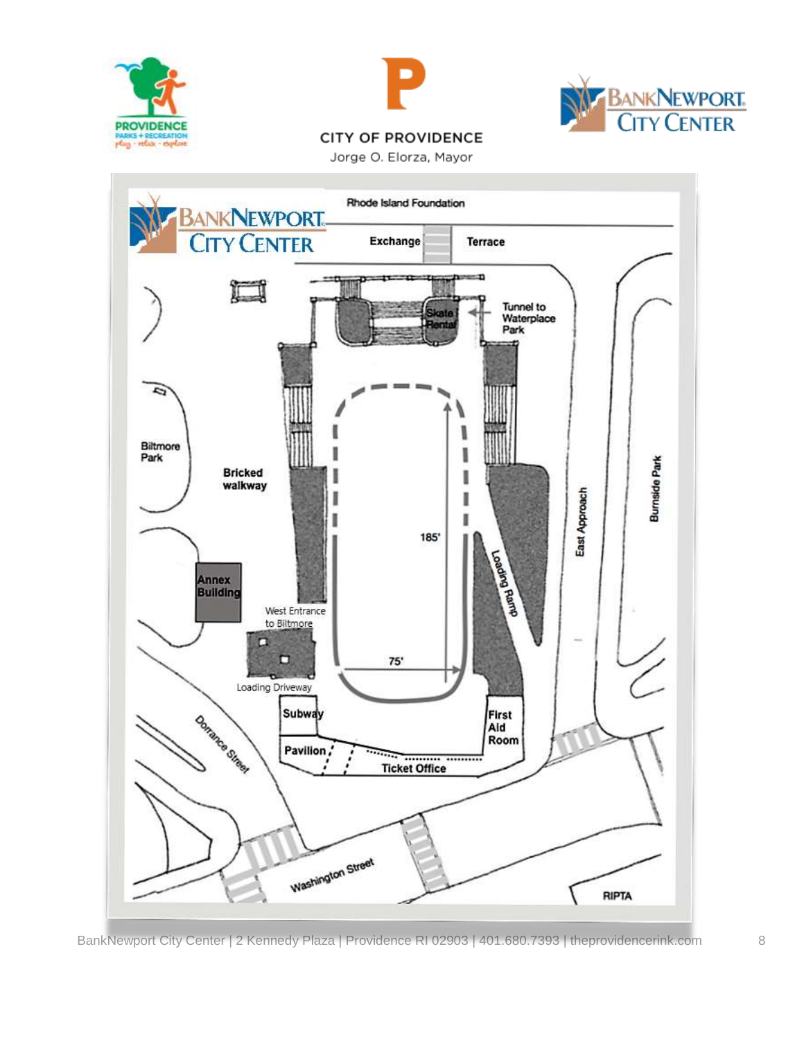





Jorge O. Elorza, Mayor



BankNewport City Center | 2 Kennedy Plaza | Providence RI 02903 | 401.680.7393 | theprovidencerink.com 8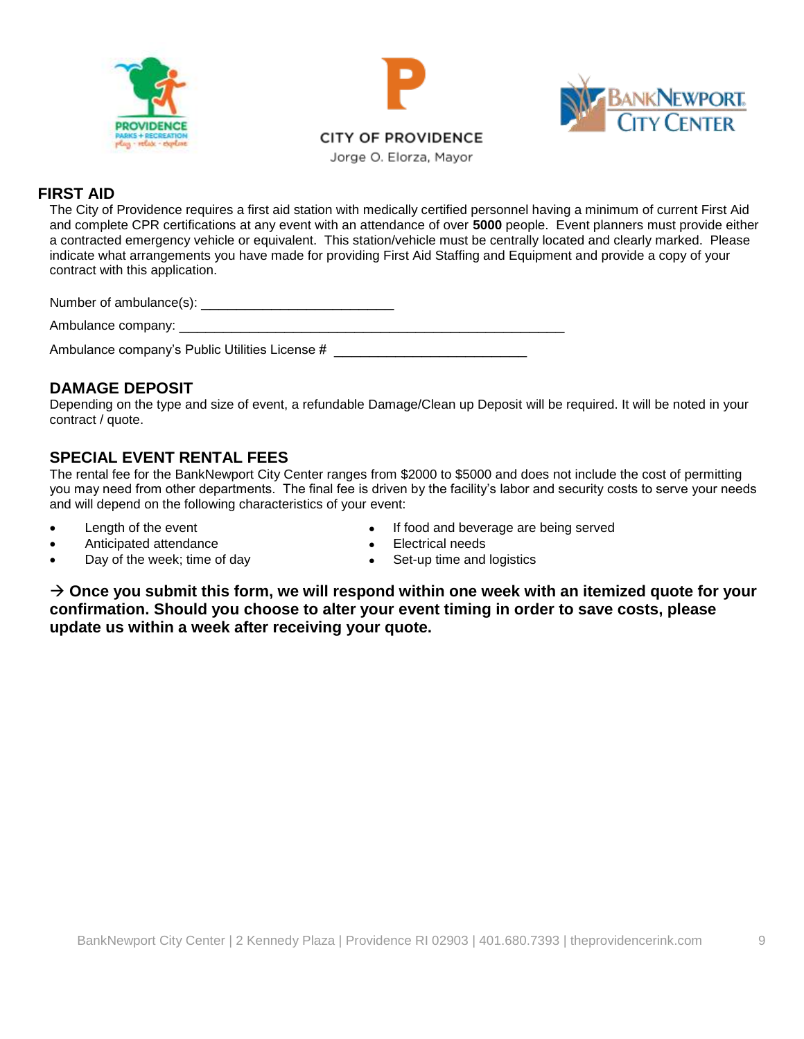





### **FIRST AID**

The City of Providence requires a first aid station with medically certified personnel having a minimum of current First Aid and complete CPR certifications at any event with an attendance of over **5000** people. Event planners must provide either a contracted emergency vehicle or equivalent. This station/vehicle must be centrally located and clearly marked. Please indicate what arrangements you have made for providing First Aid Staffing and Equipment and provide a copy of your contract with this application.

| Number of ambulance(s): ____ |  |
|------------------------------|--|
|------------------------------|--|

Ambulance company:

Ambulance company's Public Utilities License # \_\_\_\_\_\_\_\_\_\_\_\_\_\_\_\_\_\_\_\_\_\_\_\_\_\_\_\_\_\_\_\_\_

## **DAMAGE DEPOSIT**

Depending on the type and size of event, a refundable Damage/Clean up Deposit will be required. It will be noted in your contract / quote.

## **SPECIAL EVENT RENTAL FEES**

The rental fee for the BankNewport City Center ranges from \$2000 to \$5000 and does not include the cost of permitting you may need from other departments. The final fee is driven by the facility's labor and security costs to serve your needs and will depend on the following characteristics of your event:

- 
- Anticipated attendance **Anticipated attendance Anticipated attendance Anticipated attendance**
- Day of the week; time of day **example 20** Set-up time and logistics
- Length of the event **All and Struck Contract All and Struck Contract Figure 1 i** food and beverage are being served
	-
	-

→ Once you submit this form, we will respond within one week with an itemized quote for your **confirmation. Should you choose to alter your event timing in order to save costs, please update us within a week after receiving your quote.**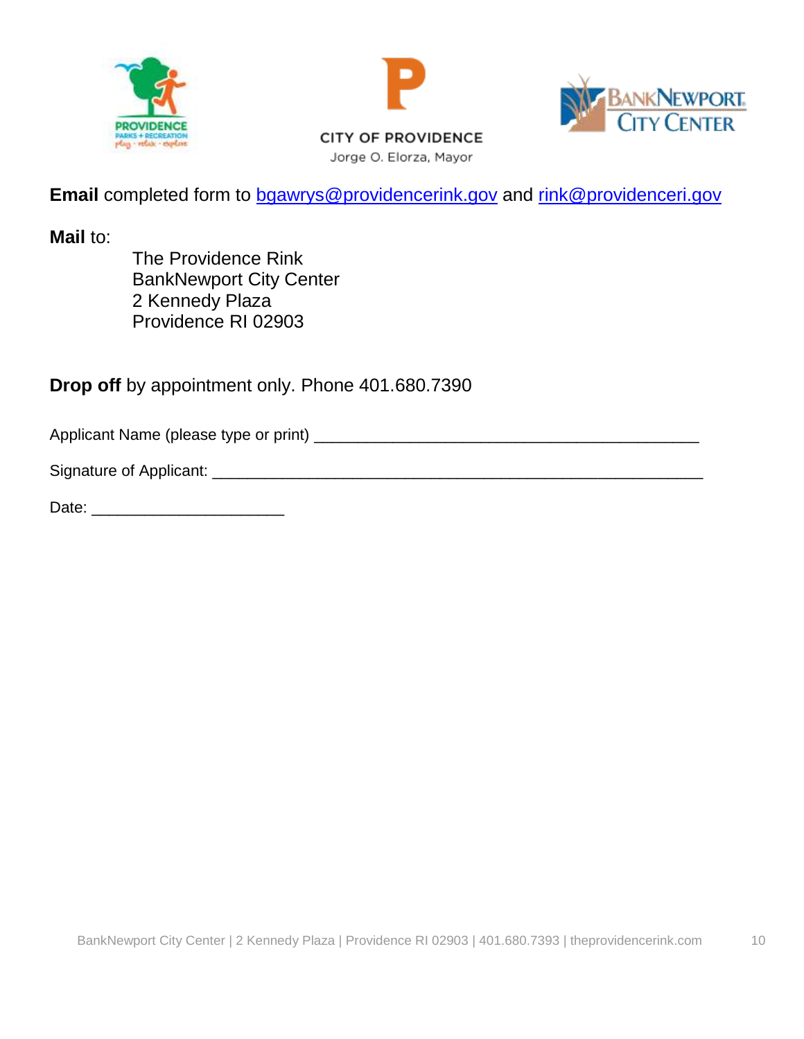





**CITY OF PROVIDENCE** Jorge O. Elorza, Mayor

**Email** completed form to **bgawrys@providencerink.gov** and [rink@providenceri.gov](mailto:rink@providenceri.gov)

**Mail** to:

The Providence Rink BankNewport City Center 2 Kennedy Plaza Providence RI 02903

**Drop off** by appointment only. Phone 401.680.7390

Applicant Name (please type or print) \_\_\_\_\_\_\_\_\_\_\_\_\_\_\_\_\_\_\_\_\_\_\_\_\_\_\_\_\_\_\_\_\_\_\_\_\_\_\_\_\_\_\_\_

Signature of Applicant: \_\_\_\_\_\_\_\_\_\_\_\_\_\_\_\_\_\_\_\_\_\_\_\_\_\_\_\_\_\_\_\_\_\_\_\_\_\_\_\_\_\_\_\_\_\_\_\_\_\_\_\_\_\_\_\_

Date:  $\Box$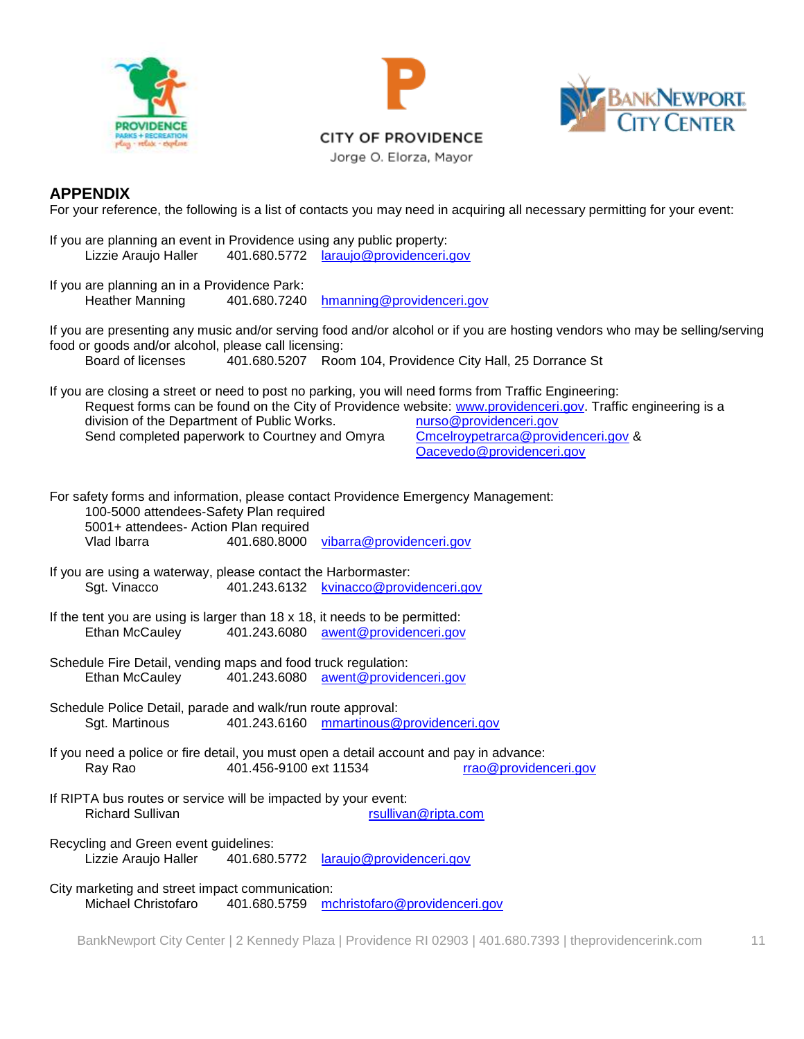





Jorge O. Elorza, Mayor

#### **APPENDIX**

For your reference, the following is a list of contacts you may need in acquiring all necessary permitting for your event:

If you are planning an event in Providence using any public property: Lizzie Araujo Haller 401.680.5772 [laraujo@providenceri.gov](mailto:laraujo@providenceri.gov)

If you are planning an in a Providence Park: Heather Manning 401.680.7240 [hmanning@providenceri.gov](mailto:hmanning@providenceri.gov)

If you are presenting any music and/or serving food and/or alcohol or if you are hosting vendors who may be selling/serving food or goods and/or alcohol, please call licensing:

Board of licenses 401.680.5207 Room 104, Providence City Hall, 25 Dorrance St

If you are closing a street or need to post no parking, you will need forms from Traffic Engineering: Request forms can be found on the City of Providence website: [www.providenceri.gov.](http://www.providenceri.gov/) Traffic engineering is a division of the Department of Public Works. division of the Department of Public Works. Send completed paperwork to Courtney and Omyra [Cmcelroypetrarca@providenceri.gov](mailto:Cmcelroypetrarca@providenceri.gov) & [Oacevedo@providenceri.gov](mailto:Oacevedo@providenceri.gov)

For safety forms and information, please contact Providence Emergency Management: 100-5000 attendees-Safety Plan required 5001+ attendees- Action Plan required

Vlad Ibarra 401.680.8000 [vibarra@providenceri.gov](mailto:vibarra@providenceri.gov)

- If you are using a waterway, please contact the Harbormaster: Sgt. Vinacco 401.243.6132 [kvinacco@providenceri.gov](mailto:kvinacco@providenceri.gov)
- If the tent you are using is larger than 18 x 18, it needs to be permitted: Ethan McCauley 401.243.6080 [awent@providenceri.gov](mailto:awent@providenceri.gov)
- Schedule Fire Detail, vending maps and food truck regulation: Ethan McCauley 401.243.6080 [awent@providenceri.gov](mailto:awent@providenceri.gov)
- Schedule Police Detail, parade and walk/run route approval: Sgt. Martinous 401.243.6160 [mmartinous@providenceri.gov](mailto:mmartinous@providenceri.gov)
- If you need a police or fire detail, you must open a detail account and pay in advance: Ray Rao 401.456-9100 ext 11534 [rrao@providenceri.gov](mailto:rrao@providenceri.gov)
- If RIPTA bus routes or service will be impacted by your event: Richard Sullivan **rational resultivan** resultivan@ripta.com

Recycling and Green event guidelines: Lizzie Araujo Haller 401.680.5772 [laraujo@providenceri.gov](mailto:laraujo@providenceri.gov)

City marketing and street impact communication: Michael Christofaro 401.680.5759 [mchristofaro@providenceri.gov](mailto:mchristofaro@providenceri.gov)